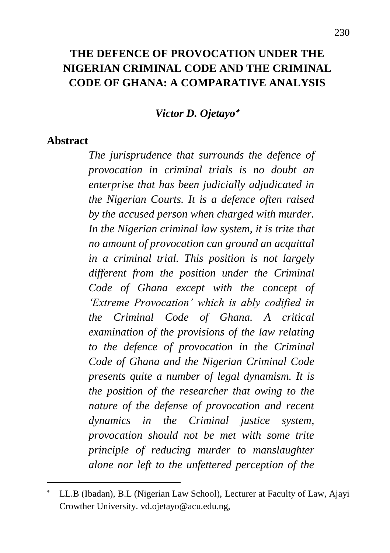# **THE DEFENCE OF PROVOCATION UNDER THE NIGERIAN CRIMINAL CODE AND THE CRIMINAL CODE OF GHANA: A COMPARATIVE ANALYSIS**

*Victor D. Ojetayo*

#### **Abstract**

 $\overline{a}$ 

*The jurisprudence that surrounds the defence of provocation in criminal trials is no doubt an enterprise that has been judicially adjudicated in the Nigerian Courts. It is a defence often raised by the accused person when charged with murder. In the Nigerian criminal law system, it is trite that no amount of provocation can ground an acquittal in a criminal trial. This position is not largely different from the position under the Criminal Code of Ghana except with the concept of 'Extreme Provocation' which is ably codified in the Criminal Code of Ghana. A critical examination of the provisions of the law relating to the defence of provocation in the Criminal Code of Ghana and the Nigerian Criminal Code presents quite a number of legal dynamism. It is the position of the researcher that owing to the nature of the defense of provocation and recent dynamics in the Criminal justice system, provocation should not be met with some trite principle of reducing murder to manslaughter alone nor left to the unfettered perception of the* 

LL.B (Ibadan), B.L (Nigerian Law School), Lecturer at Faculty of Law, Ajayi Crowther University. vd.ojetayo@acu.edu.ng,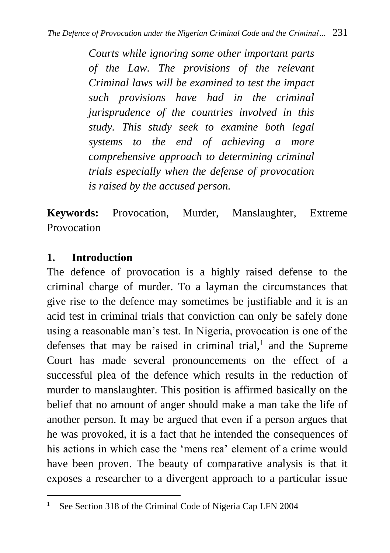*Courts while ignoring some other important parts of the Law. The provisions of the relevant Criminal laws will be examined to test the impact such provisions have had in the criminal jurisprudence of the countries involved in this study. This study seek to examine both legal systems to the end of achieving a more comprehensive approach to determining criminal trials especially when the defense of provocation is raised by the accused person.*

**Keywords:** Provocation, Murder, Manslaughter, Extreme **Provocation** 

#### **1. Introduction**

The defence of provocation is a highly raised defense to the criminal charge of murder. To a layman the circumstances that give rise to the defence may sometimes be justifiable and it is an acid test in criminal trials that conviction can only be safely done using a reasonable man's test. In Nigeria, provocation is one of the defenses that may be raised in criminal trial, $<sup>1</sup>$  and the Supreme</sup> Court has made several pronouncements on the effect of a successful plea of the defence which results in the reduction of murder to manslaughter. This position is affirmed basically on the belief that no amount of anger should make a man take the life of another person. It may be argued that even if a person argues that he was provoked, it is a fact that he intended the consequences of his actions in which case the 'mens rea' element of a crime would have been proven. The beauty of comparative analysis is that it exposes a researcher to a divergent approach to a particular issue

 $\ddot{\phantom{a}}$ <sup>1</sup> See Section 318 of the Criminal Code of Nigeria Cap LFN 2004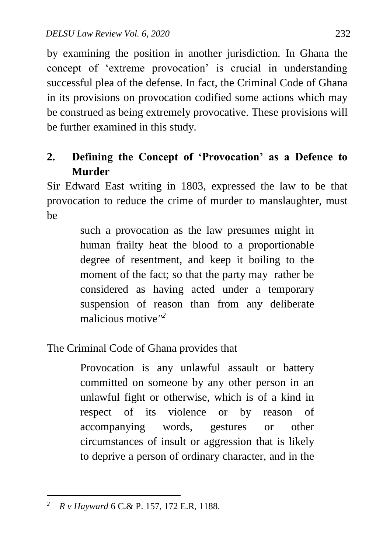by examining the position in another jurisdiction. In Ghana the concept of 'extreme provocation' is crucial in understanding successful plea of the defense. In fact, the Criminal Code of Ghana in its provisions on provocation codified some actions which may be construed as being extremely provocative. These provisions will be further examined in this study.

# **2. Defining the Concept of 'Provocation' as a Defence to Murder**

Sir Edward East writing in 1803, expressed the law to be that provocation to reduce the crime of murder to manslaughter, must be

> such a provocation as the law presumes might in human frailty heat the blood to a proportionable degree of resentment, and keep it boiling to the moment of the fact; so that the party may rather be considered as having acted under a temporary suspension of reason than from any deliberate malicious motive*" 2*

The Criminal Code of Ghana provides that

Provocation is any unlawful assault or battery committed on someone by any other person in an unlawful fight or otherwise, which is of a kind in respect of its violence or by reason of accompanying words, gestures or other circumstances of insult or aggression that is likely to deprive a person of ordinary character, and in the

 $\ddot{\phantom{a}}$ *<sup>2</sup> R v Hayward* 6 C.& P. 157, 172 E.R, 1188.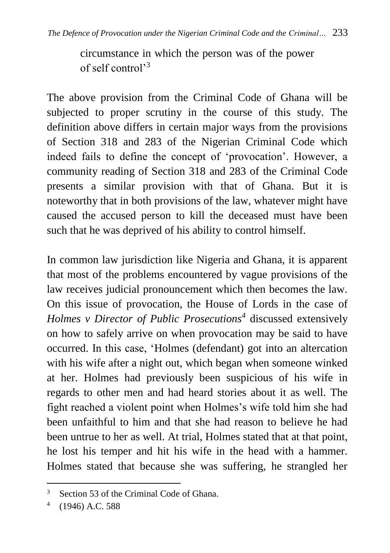circumstance in which the person was of the power of self control'<sup>3</sup>

The above provision from the Criminal Code of Ghana will be subjected to proper scrutiny in the course of this study. The definition above differs in certain major ways from the provisions of Section 318 and 283 of the Nigerian Criminal Code which indeed fails to define the concept of 'provocation'. However, a community reading of Section 318 and 283 of the Criminal Code presents a similar provision with that of Ghana. But it is noteworthy that in both provisions of the law, whatever might have caused the accused person to kill the deceased must have been such that he was deprived of his ability to control himself.

In common law jurisdiction like Nigeria and Ghana, it is apparent that most of the problems encountered by vague provisions of the law receives judicial pronouncement which then becomes the law. On this issue of provocation, the House of Lords in the case of *Holmes v Director of Public Prosecutions<sup>4</sup>* discussed extensively on how to safely arrive on when provocation may be said to have occurred. In this case, 'Holmes (defendant) got into an altercation with his wife after a night out, which began when someone winked at her. Holmes had previously been suspicious of his wife in regards to other men and had heard stories about it as well. The fight reached a violent point when Holmes's wife told him she had been unfaithful to him and that she had reason to believe he had been untrue to her as well. At trial, Holmes stated that at that point, he lost his temper and hit his wife in the head with a hammer. Holmes stated that because she was suffering, he strangled her

<sup>&</sup>lt;sup>3</sup> Section 53 of the Criminal Code of Ghana.

<sup>4</sup> (1946) A.C. 588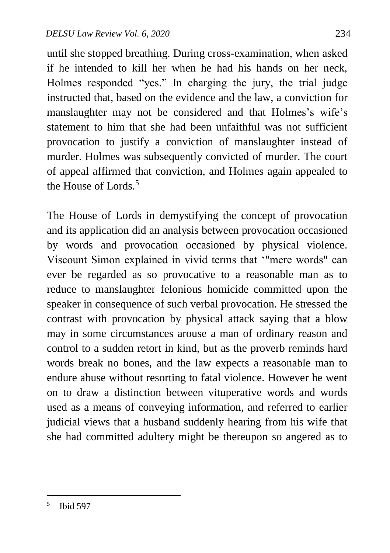until she stopped breathing. During cross-examination, when asked if he intended to kill her when he had his hands on her neck, Holmes responded "yes." In charging the jury, the trial judge instructed that, based on the evidence and the law, a conviction for manslaughter may not be considered and that Holmes's wife's statement to him that she had been unfaithful was not sufficient provocation to justify a conviction of manslaughter instead of murder. Holmes was subsequently convicted of murder. The court of appeal affirmed that conviction, and Holmes again appealed to the House of Lords.<sup>5</sup>

The House of Lords in demystifying the concept of provocation and its application did an analysis between provocation occasioned by words and provocation occasioned by physical violence. Viscount Simon explained in vivid terms that '"mere words" can ever be regarded as so provocative to a reasonable man as to reduce to manslaughter felonious homicide committed upon the speaker in consequence of such verbal provocation. He stressed the contrast with provocation by physical attack saying that a blow may in some circumstances arouse a man of ordinary reason and control to a sudden retort in kind, but as the proverb reminds hard words break no bones, and the law expects a reasonable man to endure abuse without resorting to fatal violence. However he went on to draw a distinction between vituperative words and words used as a means of conveying information, and referred to earlier judicial views that a husband suddenly hearing from his wife that she had committed adultery might be thereupon so angered as to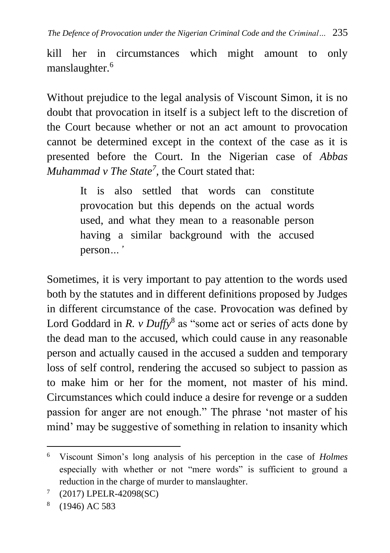kill her in circumstances which might amount to only manslaughter.<sup>6</sup>

Without prejudice to the legal analysis of Viscount Simon, it is no doubt that provocation in itself is a subject left to the discretion of the Court because whether or not an act amount to provocation cannot be determined except in the context of the case as it is presented before the Court. In the Nigerian case of *Abbas Muhammad v The State<sup>7</sup> ,* the Court stated that:

> It is also settled that words can constitute provocation but this depends on the actual words used, and what they mean to a reasonable person having a similar background with the accused person*…'*

Sometimes, it is very important to pay attention to the words used both by the statutes and in different definitions proposed by Judges in different circumstance of the case. Provocation was defined by Lord Goddard in *R. v Duffy*<sup>8</sup> as "some act or series of acts done by the dead man to the accused, which could cause in any reasonable person and actually caused in the accused a sudden and temporary loss of self control, rendering the accused so subject to passion as to make him or her for the moment, not master of his mind. Circumstances which could induce a desire for revenge or a sudden passion for anger are not enough." The phrase 'not master of his mind' may be suggestive of something in relation to insanity which

 $\ddot{\phantom{a}}$ 

<sup>6</sup> Viscount Simon's long analysis of his perception in the case of *Holmes*  especially with whether or not "mere words" is sufficient to ground a reduction in the charge of murder to manslaughter.

<sup>7</sup> (2017) LPELR-42098(SC)

<sup>8</sup> (1946) AC 583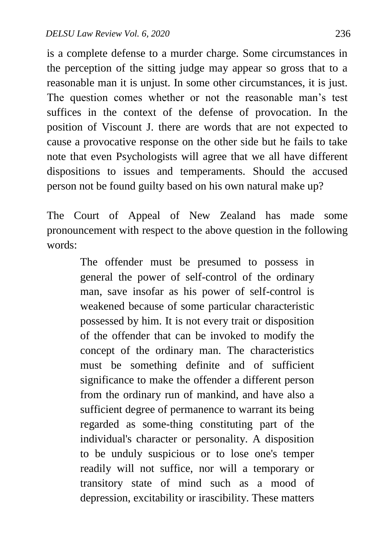is a complete defense to a murder charge. Some circumstances in the perception of the sitting judge may appear so gross that to a reasonable man it is unjust. In some other circumstances, it is just. The question comes whether or not the reasonable man's test suffices in the context of the defense of provocation. In the position of Viscount J. there are words that are not expected to cause a provocative response on the other side but he fails to take note that even Psychologists will agree that we all have different dispositions to issues and temperaments. Should the accused person not be found guilty based on his own natural make up?

The Court of Appeal of New Zealand has made some pronouncement with respect to the above question in the following words:

> The offender must be presumed to possess in general the power of self-control of the ordinary man, save insofar as his power of self-control is weakened because of some particular characteristic possessed by him. It is not every trait or disposition of the offender that can be invoked to modify the concept of the ordinary man. The characteristics must be something definite and of sufficient significance to make the offender a different person from the ordinary run of mankind, and have also a sufficient degree of permanence to warrant its being regarded as some-thing constituting part of the individual's character or personality. A disposition to be unduly suspicious or to lose one's temper readily will not suffice, nor will a temporary or transitory state of mind such as a mood of depression, excitability or irascibility. These matters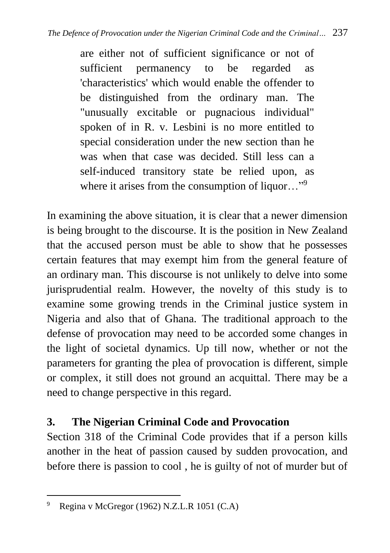are either not of sufficient significance or not of sufficient permanency to be regarded as 'characteristics' which would enable the offender to be distinguished from the ordinary man. The "unusually excitable or pugnacious individual" spoken of in R. v. Lesbini is no more entitled to special consideration under the new section than he was when that case was decided. Still less can a self-induced transitory state be relied upon, as where it arises from the consumption of liquor..."<sup>9</sup>

In examining the above situation, it is clear that a newer dimension is being brought to the discourse. It is the position in New Zealand that the accused person must be able to show that he possesses certain features that may exempt him from the general feature of an ordinary man. This discourse is not unlikely to delve into some jurisprudential realm. However, the novelty of this study is to examine some growing trends in the Criminal justice system in Nigeria and also that of Ghana. The traditional approach to the defense of provocation may need to be accorded some changes in the light of societal dynamics. Up till now, whether or not the parameters for granting the plea of provocation is different, simple or complex, it still does not ground an acquittal. There may be a need to change perspective in this regard.

# **3. The Nigerian Criminal Code and Provocation**

Section 318 of the Criminal Code provides that if a person kills another in the heat of passion caused by sudden provocation, and before there is passion to cool , he is guilty of not of murder but of

 $\ddot{\phantom{a}}$  $9$  Regina v McGregor (1962) N.Z.L.R 1051 (C.A)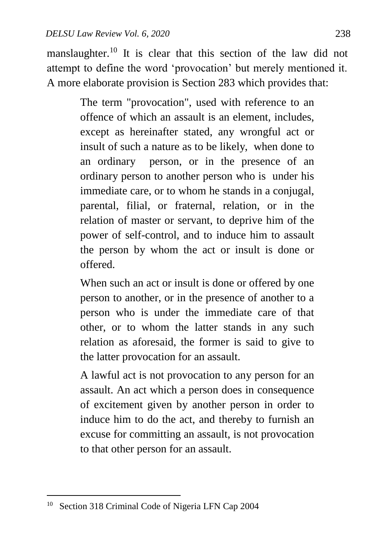manslaughter.<sup>10</sup> It is clear that this section of the law did not attempt to define the word 'provocation' but merely mentioned it. A more elaborate provision is Section 283 which provides that:

> The term "provocation", used with reference to an offence of which an assault is an element, includes, except as hereinafter stated, any wrongful act or insult of such a nature as to be likely, when done to an ordinary person, or in the presence of an ordinary person to another person who is under his immediate care, or to whom he stands in a conjugal, parental, filial, or fraternal, relation, or in the relation of master or servant, to deprive him of the power of self-control, and to induce him to assault the person by whom the act or insult is done or offered.

> When such an act or insult is done or offered by one person to another, or in the presence of another to a person who is under the immediate care of that other, or to whom the latter stands in any such relation as aforesaid, the former is said to give to the latter provocation for an assault.

> A lawful act is not provocation to any person for an assault. An act which a person does in consequence of excitement given by another person in order to induce him to do the act, and thereby to furnish an excuse for committing an assault, is not provocation to that other person for an assault.

 $\ddot{\phantom{a}}$ <sup>10</sup> Section 318 Criminal Code of Nigeria LFN Cap 2004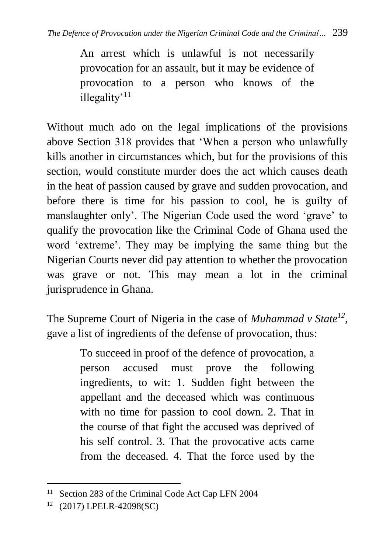An arrest which is unlawful is not necessarily provocation for an assault, but it may be evidence of provocation to a person who knows of the illegality<sup>'11</sup>

Without much ado on the legal implications of the provisions above Section 318 provides that 'When a person who unlawfully kills another in circumstances which, but for the provisions of this section, would constitute murder does the act which causes death in the heat of passion caused by grave and sudden provocation, and before there is time for his passion to cool, he is guilty of manslaughter only'. The Nigerian Code used the word 'grave' to qualify the provocation like the Criminal Code of Ghana used the word 'extreme'. They may be implying the same thing but the Nigerian Courts never did pay attention to whether the provocation was grave or not. This may mean a lot in the criminal jurisprudence in Ghana.

The Supreme Court of Nigeria in the case of *Muhammad v State<sup>12</sup>* , gave a list of ingredients of the defense of provocation, thus:

> To succeed in proof of the defence of provocation, a person accused must prove the following ingredients, to wit: 1. Sudden fight between the appellant and the deceased which was continuous with no time for passion to cool down. 2. That in the course of that fight the accused was deprived of his self control. 3. That the provocative acts came from the deceased. 4. That the force used by the

<sup>&</sup>lt;sup>11</sup> Section 283 of the Criminal Code Act Cap LFN 2004

<sup>12</sup> (2017) LPELR-42098(SC)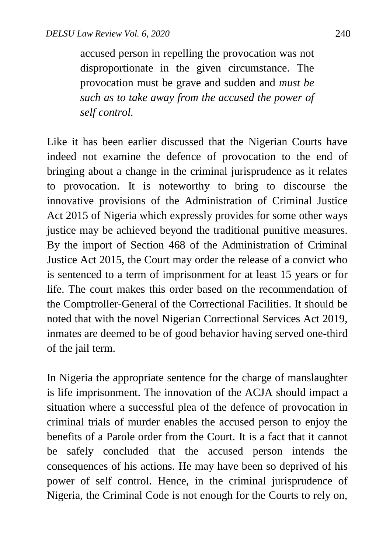accused person in repelling the provocation was not disproportionate in the given circumstance. The provocation must be grave and sudden and *must be such as to take away from the accused the power of self control.*

Like it has been earlier discussed that the Nigerian Courts have indeed not examine the defence of provocation to the end of bringing about a change in the criminal jurisprudence as it relates to provocation. It is noteworthy to bring to discourse the innovative provisions of the Administration of Criminal Justice Act 2015 of Nigeria which expressly provides for some other ways justice may be achieved beyond the traditional punitive measures. By the import of Section 468 of the Administration of Criminal Justice Act 2015, the Court may order the release of a convict who is sentenced to a term of imprisonment for at least 15 years or for life. The court makes this order based on the recommendation of the Comptroller-General of the Correctional Facilities. It should be noted that with the novel Nigerian Correctional Services Act 2019, inmates are deemed to be of good behavior having served one-third of the jail term.

In Nigeria the appropriate sentence for the charge of manslaughter is life imprisonment. The innovation of the ACJA should impact a situation where a successful plea of the defence of provocation in criminal trials of murder enables the accused person to enjoy the benefits of a Parole order from the Court. It is a fact that it cannot be safely concluded that the accused person intends the consequences of his actions. He may have been so deprived of his power of self control. Hence, in the criminal jurisprudence of Nigeria, the Criminal Code is not enough for the Courts to rely on,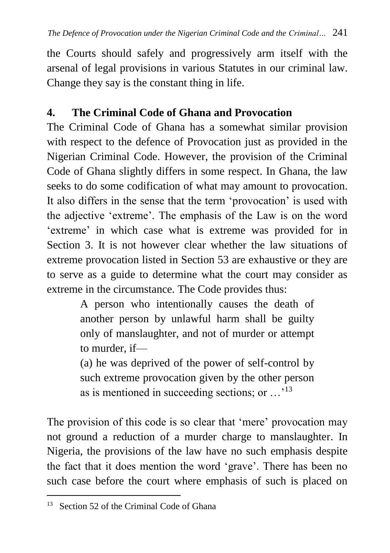the Courts should safely and progressively arm itself with the arsenal of legal provisions in various Statutes in our criminal law. Change they say is the constant thing in life.

#### **4. The Criminal Code of Ghana and Provocation**

The Criminal Code of Ghana has a somewhat similar provision with respect to the defence of Provocation just as provided in the Nigerian Criminal Code. However, the provision of the Criminal Code of Ghana slightly differs in some respect. In Ghana, the law seeks to do some codification of what may amount to provocation. It also differs in the sense that the term 'provocation' is used with the adjective 'extreme'. The emphasis of the Law is on the word 'extreme' in which case what is extreme was provided for in Section 3. It is not however clear whether the law situations of extreme provocation listed in Section 53 are exhaustive or they are to serve as a guide to determine what the court may consider as extreme in the circumstance. The Code provides thus:

> A person who intentionally causes the death of another person by unlawful harm shall be guilty only of manslaughter, and not of murder or attempt to murder, if—

> (a) he was deprived of the power of self-control by such extreme provocation given by the other person as is mentioned in succeeding sections; or …'<sup>13</sup>

The provision of this code is so clear that 'mere' provocation may not ground a reduction of a murder charge to manslaughter. In Nigeria, the provisions of the law have no such emphasis despite the fact that it does mention the word 'grave'. There has been no such case before the court where emphasis of such is placed on

<sup>&</sup>lt;sup>13</sup> Section 52 of the Criminal Code of Ghana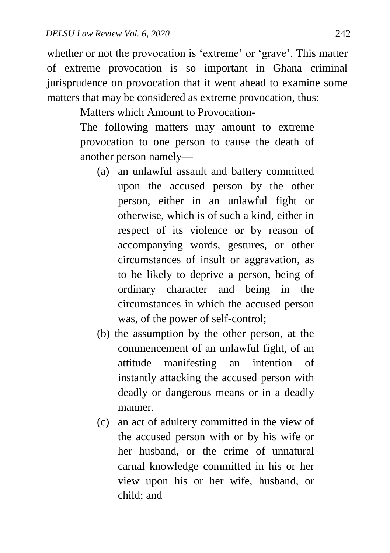whether or not the provocation is 'extreme' or 'grave'. This matter of extreme provocation is so important in Ghana criminal jurisprudence on provocation that it went ahead to examine some matters that may be considered as extreme provocation, thus:

Matters which Amount to Provocation-

The following matters may amount to extreme provocation to one person to cause the death of another person namely—

- (a) an unlawful assault and battery committed upon the accused person by the other person, either in an unlawful fight or otherwise, which is of such a kind, either in respect of its violence or by reason of accompanying words, gestures, or other circumstances of insult or aggravation, as to be likely to deprive a person, being of ordinary character and being in the circumstances in which the accused person was, of the power of self-control;
- (b) the assumption by the other person, at the commencement of an unlawful fight, of an attitude manifesting an intention of instantly attacking the accused person with deadly or dangerous means or in a deadly manner.
- (c) an act of adultery committed in the view of the accused person with or by his wife or her husband, or the crime of unnatural carnal knowledge committed in his or her view upon his or her wife, husband, or child; and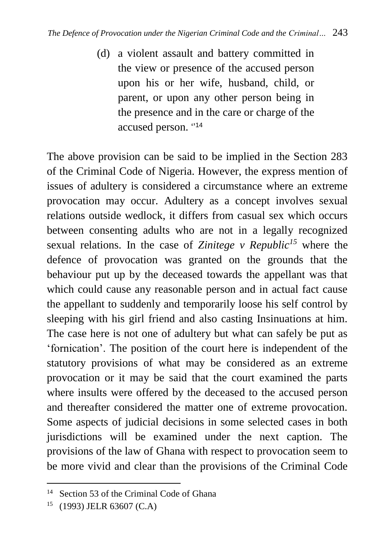(d) a violent assault and battery committed in the view or presence of the accused person upon his or her wife, husband, child, or parent, or upon any other person being in the presence and in the care or charge of the accused person. '' 14

The above provision can be said to be implied in the Section 283 of the Criminal Code of Nigeria. However, the express mention of issues of adultery is considered a circumstance where an extreme provocation may occur. Adultery as a concept involves sexual relations outside wedlock, it differs from casual sex which occurs between consenting adults who are not in a legally recognized sexual relations. In the case of *Zinitege v Republic<sup>15</sup>* where the defence of provocation was granted on the grounds that the behaviour put up by the deceased towards the appellant was that which could cause any reasonable person and in actual fact cause the appellant to suddenly and temporarily loose his self control by sleeping with his girl friend and also casting Insinuations at him. The case here is not one of adultery but what can safely be put as 'fornication'. The position of the court here is independent of the statutory provisions of what may be considered as an extreme provocation or it may be said that the court examined the parts where insults were offered by the deceased to the accused person and thereafter considered the matter one of extreme provocation. Some aspects of judicial decisions in some selected cases in both jurisdictions will be examined under the next caption. The provisions of the law of Ghana with respect to provocation seem to be more vivid and clear than the provisions of the Criminal Code

<sup>&</sup>lt;sup>14</sup> Section 53 of the Criminal Code of Ghana

<sup>15</sup> (1993) JELR 63607 (C.A)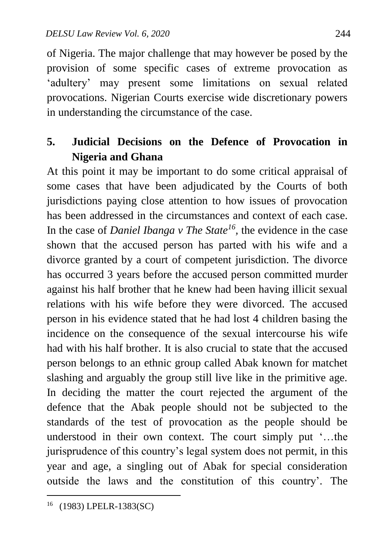of Nigeria. The major challenge that may however be posed by the provision of some specific cases of extreme provocation as 'adultery' may present some limitations on sexual related provocations. Nigerian Courts exercise wide discretionary powers in understanding the circumstance of the case.

# **5. Judicial Decisions on the Defence of Provocation in Nigeria and Ghana**

At this point it may be important to do some critical appraisal of some cases that have been adjudicated by the Courts of both jurisdictions paying close attention to how issues of provocation has been addressed in the circumstances and context of each case. In the case of *Daniel Ibanga v The State<sup>16</sup>*, the evidence in the case shown that the accused person has parted with his wife and a divorce granted by a court of competent jurisdiction. The divorce has occurred 3 years before the accused person committed murder against his half brother that he knew had been having illicit sexual relations with his wife before they were divorced. The accused person in his evidence stated that he had lost 4 children basing the incidence on the consequence of the sexual intercourse his wife had with his half brother. It is also crucial to state that the accused person belongs to an ethnic group called Abak known for matchet slashing and arguably the group still live like in the primitive age. In deciding the matter the court rejected the argument of the defence that the Abak people should not be subjected to the standards of the test of provocation as the people should be understood in their own context. The court simply put '…the jurisprudence of this country's legal system does not permit, in this year and age, a singling out of Abak for special consideration outside the laws and the constitution of this country'*.* The

 $\overline{a}$ <sup>16</sup> (1983) LPELR-1383(SC)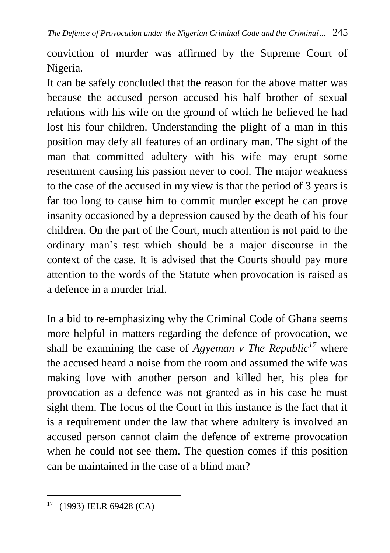conviction of murder was affirmed by the Supreme Court of Nigeria.

It can be safely concluded that the reason for the above matter was because the accused person accused his half brother of sexual relations with his wife on the ground of which he believed he had lost his four children. Understanding the plight of a man in this position may defy all features of an ordinary man. The sight of the man that committed adultery with his wife may erupt some resentment causing his passion never to cool. The major weakness to the case of the accused in my view is that the period of 3 years is far too long to cause him to commit murder except he can prove insanity occasioned by a depression caused by the death of his four children. On the part of the Court, much attention is not paid to the ordinary man's test which should be a major discourse in the context of the case. It is advised that the Courts should pay more attention to the words of the Statute when provocation is raised as a defence in a murder trial.

In a bid to re-emphasizing why the Criminal Code of Ghana seems more helpful in matters regarding the defence of provocation, we shall be examining the case of *Agyeman v The Republic<sup>17</sup>* where the accused heard a noise from the room and assumed the wife was making love with another person and killed her, his plea for provocation as a defence was not granted as in his case he must sight them. The focus of the Court in this instance is the fact that it is a requirement under the law that where adultery is involved an accused person cannot claim the defence of extreme provocation when he could not see them. The question comes if this position can be maintained in the case of a blind man?

 $\overline{a}$ <sup>17</sup> (1993) JELR 69428 (CA)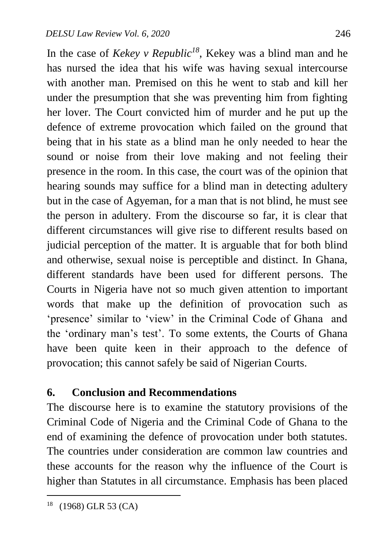In the case of *Kekey v Republic<sup>18</sup>* , Kekey was a blind man and he has nursed the idea that his wife was having sexual intercourse with another man. Premised on this he went to stab and kill her under the presumption that she was preventing him from fighting her lover. The Court convicted him of murder and he put up the defence of extreme provocation which failed on the ground that being that in his state as a blind man he only needed to hear the sound or noise from their love making and not feeling their presence in the room. In this case, the court was of the opinion that hearing sounds may suffice for a blind man in detecting adultery but in the case of Agyeman, for a man that is not blind, he must see the person in adultery. From the discourse so far, it is clear that different circumstances will give rise to different results based on judicial perception of the matter. It is arguable that for both blind and otherwise, sexual noise is perceptible and distinct. In Ghana, different standards have been used for different persons. The Courts in Nigeria have not so much given attention to important words that make up the definition of provocation such as 'presence' similar to 'view' in the Criminal Code of Ghana and the 'ordinary man's test'. To some extents, the Courts of Ghana have been quite keen in their approach to the defence of provocation; this cannot safely be said of Nigerian Courts.

#### **6. Conclusion and Recommendations**

The discourse here is to examine the statutory provisions of the Criminal Code of Nigeria and the Criminal Code of Ghana to the end of examining the defence of provocation under both statutes. The countries under consideration are common law countries and these accounts for the reason why the influence of the Court is higher than Statutes in all circumstance. Emphasis has been placed

<sup>18</sup> (1968) GLR 53 (CA)